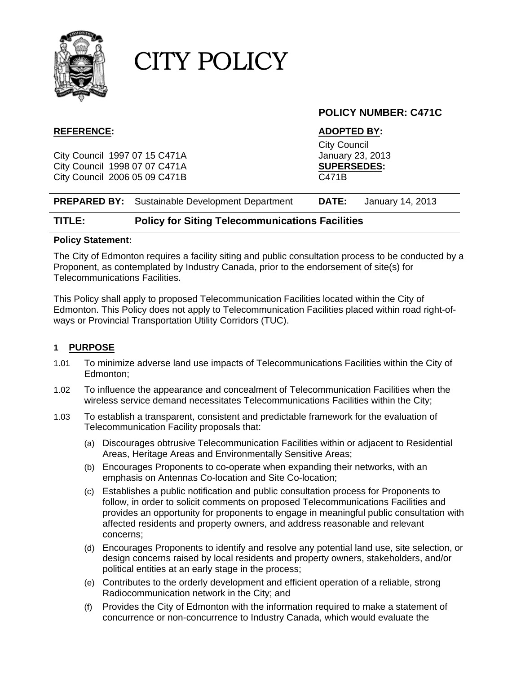

### **POLICY NUMBER: C471C**

City Council 1997 07 15 C471A January 23, 2013 City Council 1998 07 07 C471A **SUPERSEDES:**  City Council 2006 05 09 C471B C471B

#### **REFERENCE: ADOPTED BY:**

City Council

| <b>PREPARED BY:</b> Sustainable Development Department<br><b>DATE:</b> | January 14, 2013 |  |
|------------------------------------------------------------------------|------------------|--|
|------------------------------------------------------------------------|------------------|--|

#### **TITLE: Policy for Siting Telecommunications Facilities**

#### **Policy Statement:**

The City of Edmonton requires a facility siting and public consultation process to be conducted by a Proponent, as contemplated by Industry Canada, prior to the endorsement of site(s) for Telecommunications Facilities.

This Policy shall apply to proposed Telecommunication Facilities located within the City of Edmonton. This Policy does not apply to Telecommunication Facilities placed within road right-ofways or Provincial Transportation Utility Corridors (TUC).

#### **1 PURPOSE**

- 1.01 To minimize adverse land use impacts of Telecommunications Facilities within the City of Edmonton;
- 1.02 To influence the appearance and concealment of Telecommunication Facilities when the wireless service demand necessitates Telecommunications Facilities within the City;
- 1.03 To establish a transparent, consistent and predictable framework for the evaluation of Telecommunication Facility proposals that:
	- (a) Discourages obtrusive Telecommunication Facilities within or adjacent to Residential Areas, Heritage Areas and Environmentally Sensitive Areas;
	- (b) Encourages Proponents to co-operate when expanding their networks, with an emphasis on Antennas Co-location and Site Co-location;
	- (c) Establishes a public notification and public consultation process for Proponents to follow, in order to solicit comments on proposed Telecommunications Facilities and provides an opportunity for proponents to engage in meaningful public consultation with affected residents and property owners, and address reasonable and relevant concerns;
	- (d) Encourages Proponents to identify and resolve any potential land use, site selection, or design concerns raised by local residents and property owners, stakeholders, and/or political entities at an early stage in the process;
	- (e) Contributes to the orderly development and efficient operation of a reliable, strong Radiocommunication network in the City; and
	- (f) Provides the City of Edmonton with the information required to make a statement of concurrence or non-concurrence to Industry Canada, which would evaluate the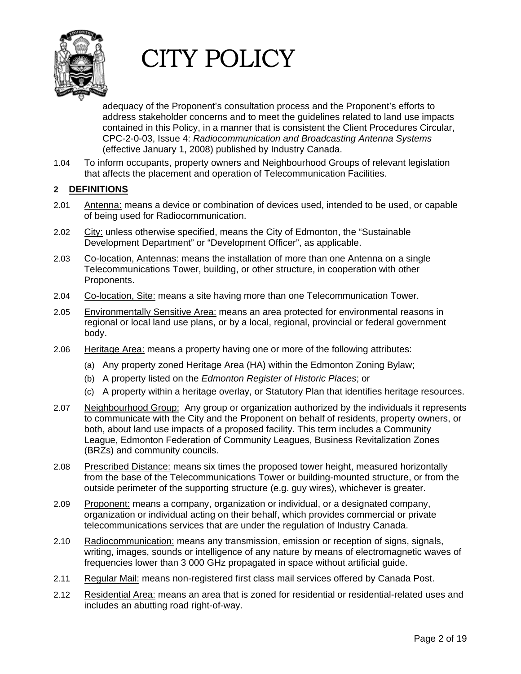

adequacy of the Proponent's consultation process and the Proponent's efforts to address stakeholder concerns and to meet the guidelines related to land use impacts contained in this Policy, in a manner that is consistent the Client Procedures Circular, CPC-2-0-03, Issue 4: *Radiocommunication and Broadcasting Antenna Systems* (effective January 1, 2008) published by Industry Canada.

1.04 To inform occupants, property owners and Neighbourhood Groups of relevant legislation that affects the placement and operation of Telecommunication Facilities.

### **2 DEFINITIONS**

- 2.01 Antenna: means a device or combination of devices used, intended to be used, or capable of being used for Radiocommunication.
- 2.02 City: unless otherwise specified, means the City of Edmonton, the "Sustainable Development Department" or "Development Officer", as applicable.
- 2.03 Co-location, Antennas: means the installation of more than one Antenna on a single Telecommunications Tower, building, or other structure, in cooperation with other Proponents.
- 2.04 Co-location, Site: means a site having more than one Telecommunication Tower.
- 2.05 Environmentally Sensitive Area: means an area protected for environmental reasons in regional or local land use plans, or by a local, regional, provincial or federal government body.
- 2.06 Heritage Area: means a property having one or more of the following attributes:
	- (a) Any property zoned Heritage Area (HA) within the Edmonton Zoning Bylaw;
	- (b) A property listed on the *Edmonton Register of Historic Places*; or
	- (c) A property within a heritage overlay, or Statutory Plan that identifies heritage resources.
- 2.07 Neighbourhood Group: Any group or organization authorized by the individuals it represents to communicate with the City and the Proponent on behalf of residents, property owners, or both, about land use impacts of a proposed facility. This term includes a Community League, Edmonton Federation of Community Leagues, Business Revitalization Zones (BRZs) and community councils.
- 2.08 Prescribed Distance: means six times the proposed tower height, measured horizontally from the base of the Telecommunications Tower or building-mounted structure, or from the outside perimeter of the supporting structure (e.g. guy wires), whichever is greater.
- 2.09 Proponent: means a company, organization or individual, or a designated company, organization or individual acting on their behalf, which provides commercial or private telecommunications services that are under the regulation of Industry Canada.
- 2.10 Radiocommunication: means any transmission, emission or reception of signs, signals, writing, images, sounds or intelligence of any nature by means of electromagnetic waves of frequencies lower than 3 000 GHz propagated in space without artificial guide.
- 2.11 Regular Mail: means non-registered first class mail services offered by Canada Post.
- 2.12 Residential Area: means an area that is zoned for residential or residential-related uses and includes an abutting road right-of-way.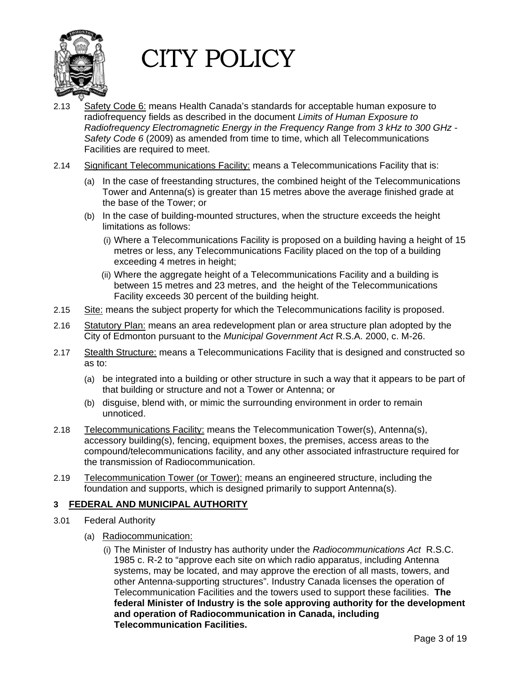

- 2.13 Safety Code 6: means Health Canada's standards for acceptable human exposure to radiofrequency fields as described in the document *Limits of Human Exposure to Radiofrequency Electromagnetic Energy in the Frequency Range from 3 kHz to 300 GHz - Safety Code 6* (2009) as amended from time to time, which all Telecommunications Facilities are required to meet.
- 2.14 Significant Telecommunications Facility: means a Telecommunications Facility that is:
	- (a) In the case of freestanding structures, the combined height of the Telecommunications Tower and Antenna(s) is greater than 15 metres above the average finished grade at the base of the Tower; or
	- (b) In the case of building-mounted structures, when the structure exceeds the height limitations as follows:
		- (i) Where a Telecommunications Facility is proposed on a building having a height of 15 metres or less, any Telecommunications Facility placed on the top of a building exceeding 4 metres in height;
		- (ii) Where the aggregate height of a Telecommunications Facility and a building is between 15 metres and 23 metres, and the height of the Telecommunications Facility exceeds 30 percent of the building height.
- 2.15 Site: means the subject property for which the Telecommunications facility is proposed.
- 2.16 Statutory Plan: means an area redevelopment plan or area structure plan adopted by the City of Edmonton pursuant to the *Municipal Government Act* R.S.A. 2000, c. M-26.
- 2.17 Stealth Structure: means a Telecommunications Facility that is designed and constructed so as to:
	- (a) be integrated into a building or other structure in such a way that it appears to be part of that building or structure and not a Tower or Antenna; or
	- (b) disguise, blend with, or mimic the surrounding environment in order to remain unnoticed.
- 2.18 Telecommunications Facility: means the Telecommunication Tower(s), Antenna(s), accessory building(s), fencing, equipment boxes, the premises, access areas to the compound/telecommunications facility, and any other associated infrastructure required for the transmission of Radiocommunication.
- 2.19 Telecommunication Tower (or Tower): means an engineered structure, including the foundation and supports, which is designed primarily to support Antenna(s).

#### **3 FEDERAL AND MUNICIPAL AUTHORITY**

- 3.01 Federal Authority
	- (a) Radiocommunication:
		- (i) The Minister of Industry has authority under the *Radiocommunications Act* R.S.C. 1985 c. R-2 to "approve each site on which radio apparatus, including Antenna systems, may be located, and may approve the erection of all masts, towers, and other Antenna-supporting structures". Industry Canada licenses the operation of Telecommunication Facilities and the towers used to support these facilities. **The federal Minister of Industry is the sole approving authority for the development and operation of Radiocommunication in Canada, including Telecommunication Facilities.**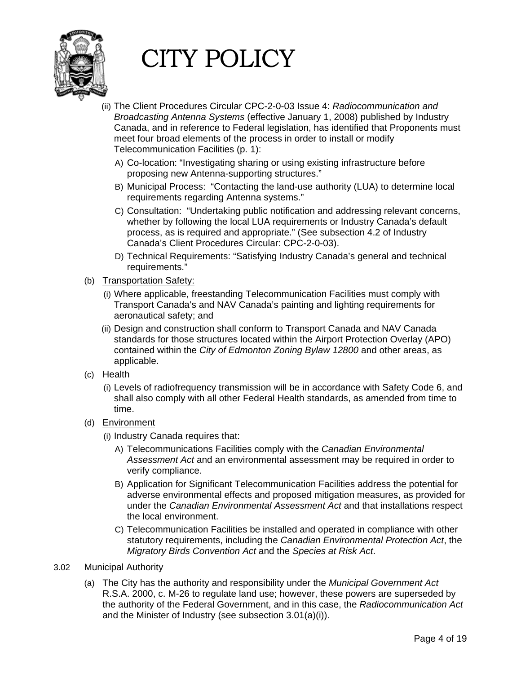

- (ii) The Client Procedures Circular CPC-2-0-03 Issue 4: *Radiocommunication and Broadcasting Antenna Systems* (effective January 1, 2008) published by Industry Canada, and in reference to Federal legislation, has identified that Proponents must meet four broad elements of the process in order to install or modify Telecommunication Facilities (p. 1):
	- A) Co-location: "Investigating sharing or using existing infrastructure before proposing new Antenna-supporting structures."
	- B) Municipal Process: "Contacting the land-use authority (LUA) to determine local requirements regarding Antenna systems."
	- C) Consultation: "Undertaking public notification and addressing relevant concerns, whether by following the local LUA requirements or Industry Canada's default process, as is required and appropriate." (See subsection 4.2 of Industry Canada's Client Procedures Circular: CPC-2-0-03).
	- D) Technical Requirements: "Satisfying Industry Canada's general and technical requirements."
- (b) Transportation Safety:
	- (i) Where applicable, freestanding Telecommunication Facilities must comply with Transport Canada's and NAV Canada's painting and lighting requirements for aeronautical safety; and
	- (ii) Design and construction shall conform to Transport Canada and NAV Canada standards for those structures located within the Airport Protection Overlay (APO) contained within the *City of Edmonton Zoning Bylaw 12800* and other areas, as applicable.
- $(c)$  Health
	- (i) Levels of radiofrequency transmission will be in accordance with Safety Code 6, and shall also comply with all other Federal Health standards, as amended from time to time.
- (d) Environment
	- (i) Industry Canada requires that:
		- A) Telecommunications Facilities comply with the *Canadian Environmental Assessment Act* and an environmental assessment may be required in order to verify compliance.
		- B) Application for Significant Telecommunication Facilities address the potential for adverse environmental effects and proposed mitigation measures, as provided for under the *Canadian Environmental Assessment Act* and that installations respect the local environment.
		- C) Telecommunication Facilities be installed and operated in compliance with other statutory requirements, including the *Canadian Environmental Protection Act*, the *Migratory Birds Convention Act* and the *Species at Risk Act*.
- 3.02 Municipal Authority
	- (a) The City has the authority and responsibility under the *Municipal Government Act* R.S.A. 2000, c. M-26 to regulate land use; however, these powers are superseded by the authority of the Federal Government, and in this case, the *Radiocommunication Act* and the Minister of Industry (see subsection 3.01(a)(i)).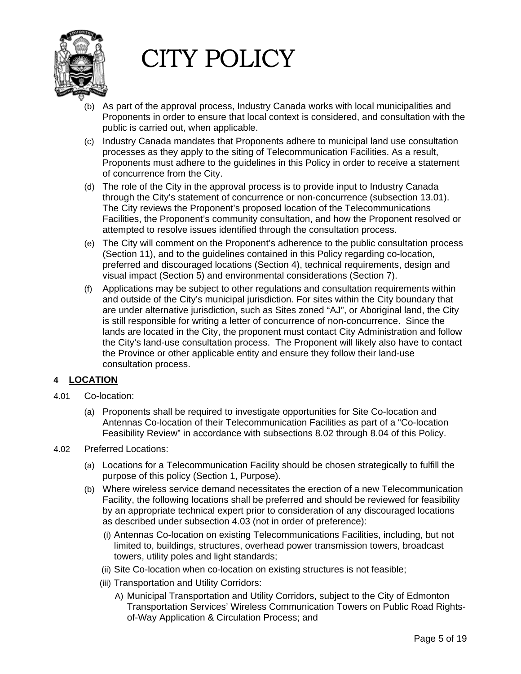

- (b) As part of the approval process, Industry Canada works with local municipalities and Proponents in order to ensure that local context is considered, and consultation with the public is carried out, when applicable.
- (c) Industry Canada mandates that Proponents adhere to municipal land use consultation processes as they apply to the siting of Telecommunication Facilities. As a result, Proponents must adhere to the guidelines in this Policy in order to receive a statement of concurrence from the City.
- (d) The role of the City in the approval process is to provide input to Industry Canada through the City's statement of concurrence or non-concurrence (subsection 13.01). The City reviews the Proponent's proposed location of the Telecommunications Facilities, the Proponent's community consultation, and how the Proponent resolved or attempted to resolve issues identified through the consultation process.
- (e) The City will comment on the Proponent's adherence to the public consultation process (Section 11), and to the guidelines contained in this Policy regarding co-location, preferred and discouraged locations (Section 4), technical requirements, design and visual impact (Section 5) and environmental considerations (Section 7).
- (f) Applications may be subject to other regulations and consultation requirements within and outside of the City's municipal jurisdiction. For sites within the City boundary that are under alternative jurisdiction, such as Sites zoned "AJ", or Aboriginal land, the City is still responsible for writing a letter of concurrence of non-concurrence. Since the lands are located in the City, the proponent must contact City Administration and follow the City's land-use consultation process. The Proponent will likely also have to contact the Province or other applicable entity and ensure they follow their land-use consultation process.

#### **4 LOCATION**

- 4.01 Co-location:
	- (a) Proponents shall be required to investigate opportunities for Site Co-location and Antennas Co-location of their Telecommunication Facilities as part of a "Co-location Feasibility Review" in accordance with subsections 8.02 through 8.04 of this Policy.
- 4.02 Preferred Locations:
	- (a) Locations for a Telecommunication Facility should be chosen strategically to fulfill the purpose of this policy (Section 1, Purpose).
	- (b) Where wireless service demand necessitates the erection of a new Telecommunication Facility, the following locations shall be preferred and should be reviewed for feasibility by an appropriate technical expert prior to consideration of any discouraged locations as described under subsection 4.03 (not in order of preference):
		- (i) Antennas Co-location on existing Telecommunications Facilities, including, but not limited to, buildings, structures, overhead power transmission towers, broadcast towers, utility poles and light standards;
		- (ii) Site Co-location when co-location on existing structures is not feasible;
		- (iii) Transportation and Utility Corridors:
			- A) Municipal Transportation and Utility Corridors, subject to the City of Edmonton Transportation Services' Wireless Communication Towers on Public Road Rightsof-Way Application & Circulation Process; and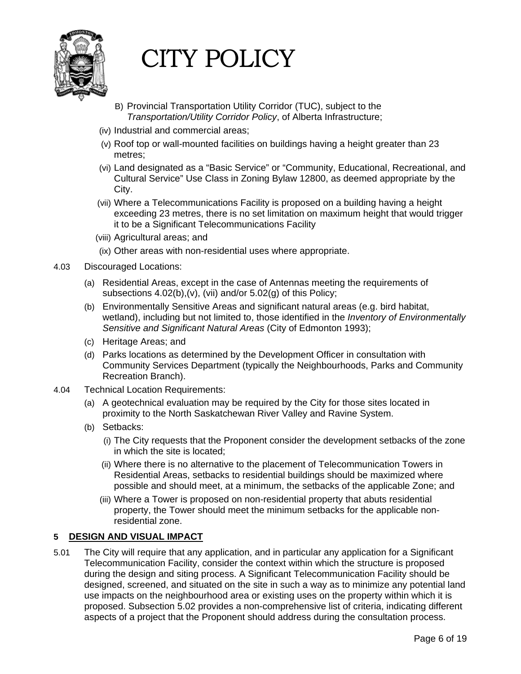

- B) Provincial Transportation Utility Corridor (TUC), subject to the *Transportation/Utility Corridor Policy*, of Alberta Infrastructure;
- (iv) Industrial and commercial areas;
- (v) Roof top or wall-mounted facilities on buildings having a height greater than 23 metres;
- (vi) Land designated as a "Basic Service" or "Community, Educational, Recreational, and Cultural Service" Use Class in Zoning Bylaw 12800, as deemed appropriate by the City.
- (vii) Where a Telecommunications Facility is proposed on a building having a height exceeding 23 metres, there is no set limitation on maximum height that would trigger it to be a Significant Telecommunications Facility
- (viii) Agricultural areas; and
- (ix) Other areas with non-residential uses where appropriate.
- 4.03 Discouraged Locations:
	- (a) Residential Areas, except in the case of Antennas meeting the requirements of subsections 4.02(b),(v), (vii) and/or 5.02(g) of this Policy;
	- (b) Environmentally Sensitive Areas and significant natural areas (e.g. bird habitat, wetland), including but not limited to, those identified in the *Inventory of Environmentally Sensitive and Significant Natural Areas* (City of Edmonton 1993);
	- (c) Heritage Areas; and
	- (d) Parks locations as determined by the Development Officer in consultation with Community Services Department (typically the [Neighbourhoods, Parks and Community](http://www.edmonton.ca/city_government/city_organization/neighbourhoods-parks-community-recreation.aspx)  [Recreation](http://www.edmonton.ca/city_government/city_organization/neighbourhoods-parks-community-recreation.aspx) Branch).
- 4.04 Technical Location Requirements:
	- (a) A geotechnical evaluation may be required by the City for those sites located in proximity to the North Saskatchewan River Valley and Ravine System.
	- (b) Setbacks:
		- (i) The City requests that the Proponent consider the development setbacks of the zone in which the site is located;
		- (ii) Where there is no alternative to the placement of Telecommunication Towers in Residential Areas, setbacks to residential buildings should be maximized where possible and should meet, at a minimum, the setbacks of the applicable Zone; and
		- (iii) Where a Tower is proposed on non-residential property that abuts residential property, the Tower should meet the minimum setbacks for the applicable nonresidential zone.

#### **5 DESIGN AND VISUAL IMPACT**

5.01 The City will require that any application, and in particular any application for a Significant Telecommunication Facility, consider the context within which the structure is proposed during the design and siting process. A Significant Telecommunication Facility should be designed, screened, and situated on the site in such a way as to minimize any potential land use impacts on the neighbourhood area or existing uses on the property within which it is proposed. Subsection 5.02 provides a non-comprehensive list of criteria, indicating different aspects of a project that the Proponent should address during the consultation process.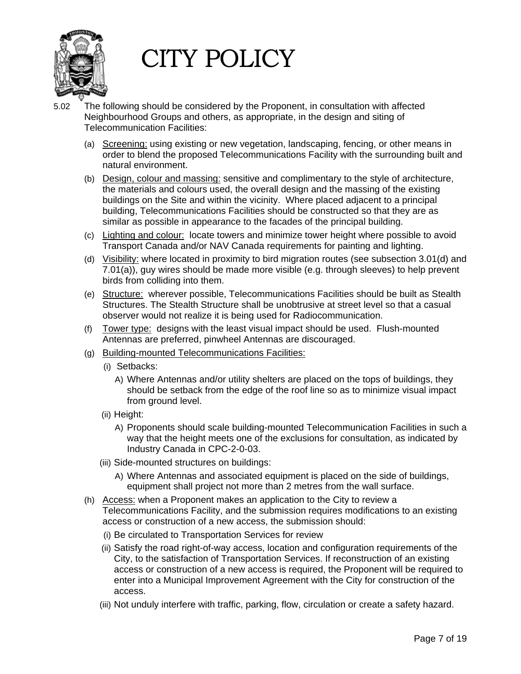

- 5.02 The following should be considered by the Proponent, in consultation with affected Neighbourhood Groups and others, as appropriate, in the design and siting of Telecommunication Facilities:
	- (a) Screening: using existing or new vegetation, landscaping, fencing, or other means in order to blend the proposed Telecommunications Facility with the surrounding built and natural environment.
	- (b) Design, colour and massing: sensitive and complimentary to the style of architecture, the materials and colours used, the overall design and the massing of the existing buildings on the Site and within the vicinity. Where placed adjacent to a principal building, Telecommunications Facilities should be constructed so that they are as similar as possible in appearance to the facades of the principal building.
	- (c) Lighting and colour: locate towers and minimize tower height where possible to avoid Transport Canada and/or NAV Canada requirements for painting and lighting.
	- (d) Visibility: where located in proximity to bird migration routes (see subsection 3.01(d) and 7.01(a)), guy wires should be made more visible (e.g. through sleeves) to help prevent birds from colliding into them.
	- (e) Structure: wherever possible, Telecommunications Facilities should be built as Stealth Structures. The Stealth Structure shall be unobtrusive at street level so that a casual observer would not realize it is being used for Radiocommunication.
	- (f) Tower type: designs with the least visual impact should be used. Flush-mounted Antennas are preferred, pinwheel Antennas are discouraged.
	- (g) Building-mounted Telecommunications Facilities:
		- (i) Setbacks:
			- A) Where Antennas and/or utility shelters are placed on the tops of buildings, they should be setback from the edge of the roof line so as to minimize visual impact from ground level.
		- (ii) Height:
			- A) Proponents should scale building-mounted Telecommunication Facilities in such a way that the height meets one of the exclusions for consultation, as indicated by Industry Canada in CPC-2-0-03.
		- (iii) Side-mounted structures on buildings:
			- A) Where Antennas and associated equipment is placed on the side of buildings, equipment shall project not more than 2 metres from the wall surface.
	- (h) Access: when a Proponent makes an application to the City to review a Telecommunications Facility, and the submission requires modifications to an existing access or construction of a new access, the submission should:
		- (i) Be circulated to Transportation Services for review
		- (ii) Satisfy the road right-of-way access, location and configuration requirements of the City, to the satisfaction of Transportation Services. If reconstruction of an existing access or construction of a new access is required, the Proponent will be required to enter into a Municipal Improvement Agreement with the City for construction of the access.
		- (iii) Not unduly interfere with traffic, parking, flow, circulation or create a safety hazard.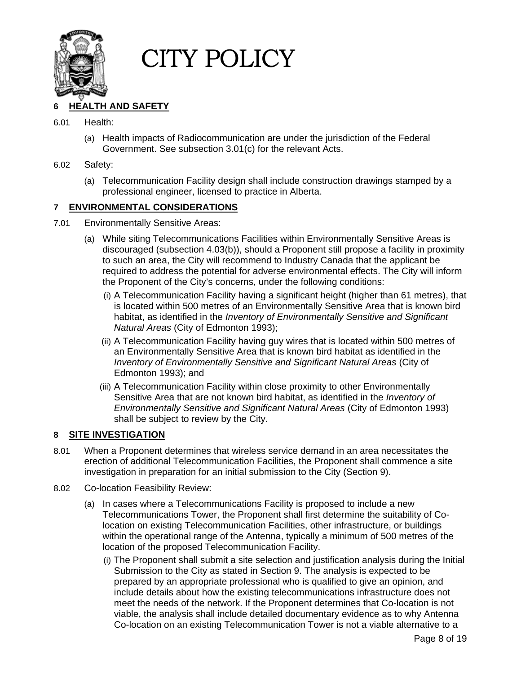

#### **6 HEALTH AND SAFETY**

#### 6.01 Health:

(a) Health impacts of Radiocommunication are under the jurisdiction of the Federal Government. See subsection 3.01(c) for the relevant Acts.

#### 6.02 Safety:

(a) Telecommunication Facility design shall include construction drawings stamped by a professional engineer, licensed to practice in Alberta.

#### **7 ENVIRONMENTAL CONSIDERATIONS**

- 7.01 Environmentally Sensitive Areas:
	- (a) While siting Telecommunications Facilities within Environmentally Sensitive Areas is discouraged (subsection 4.03(b)), should a Proponent still propose a facility in proximity to such an area, the City will recommend to Industry Canada that the applicant be required to address the potential for adverse environmental effects. The City will inform the Proponent of the City's concerns, under the following conditions:
		- (i) A Telecommunication Facility having a significant height (higher than 61 metres), that is located within 500 metres of an Environmentally Sensitive Area that is known bird habitat, as identified in the *Inventory of Environmentally Sensitive and Significant Natural Areas* (City of Edmonton 1993);
		- (ii) A Telecommunication Facility having guy wires that is located within 500 metres of an Environmentally Sensitive Area that is known bird habitat as identified in the *Inventory of Environmentally Sensitive and Significant Natural Areas* (City of Edmonton 1993); and
		- (iii) A Telecommunication Facility within close proximity to other Environmentally Sensitive Area that are not known bird habitat, as identified in the *Inventory of Environmentally Sensitive and Significant Natural Areas* (City of Edmonton 1993) shall be subject to review by the City.

#### **8 SITE INVESTIGATION**

- 8.01 When a Proponent determines that wireless service demand in an area necessitates the erection of additional Telecommunication Facilities, the Proponent shall commence a site investigation in preparation for an initial submission to the City (Section 9).
- 8.02 Co-location Feasibility Review:
	- (a) In cases where a Telecommunications Facility is proposed to include a new Telecommunications Tower, the Proponent shall first determine the suitability of Colocation on existing Telecommunication Facilities, other infrastructure, or buildings within the operational range of the Antenna, typically a minimum of 500 metres of the location of the proposed Telecommunication Facility.
		- (i) The Proponent shall submit a site selection and justification analysis during the Initial Submission to the City as stated in Section 9. The analysis is expected to be prepared by an appropriate professional who is qualified to give an opinion, and include details about how the existing telecommunications infrastructure does not meet the needs of the network. If the Proponent determines that Co-location is not viable, the analysis shall include detailed documentary evidence as to why Antenna Co-location on an existing Telecommunication Tower is not a viable alternative to a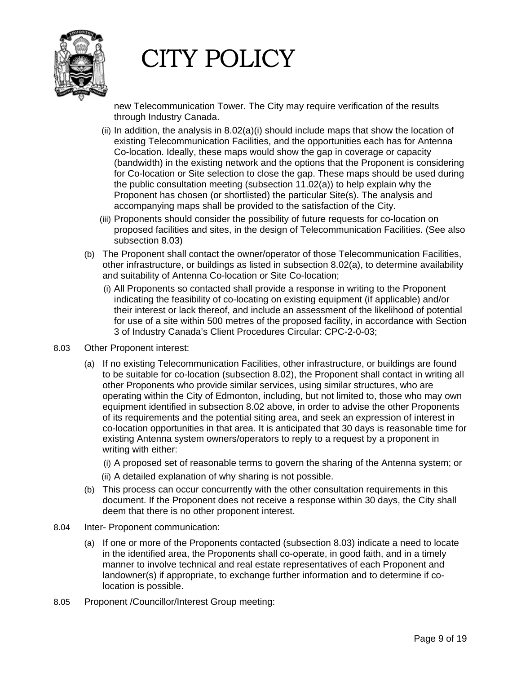

new Telecommunication Tower. The City may require verification of the results through Industry Canada.

- (ii) In addition, the analysis in  $8.02(a)(i)$  should include maps that show the location of existing Telecommunication Facilities, and the opportunities each has for Antenna Co-location. Ideally, these maps would show the gap in coverage or capacity (bandwidth) in the existing network and the options that the Proponent is considering for Co-location or Site selection to close the gap. These maps should be used during the public consultation meeting (subsection 11.02(a)) to help explain why the Proponent has chosen (or shortlisted) the particular Site(s). The analysis and accompanying maps shall be provided to the satisfaction of the City.
- (iii) Proponents should consider the possibility of future requests for co-location on proposed facilities and sites, in the design of Telecommunication Facilities. (See also subsection 8.03)
- (b) The Proponent shall contact the owner/operator of those Telecommunication Facilities, other infrastructure, or buildings as listed in subsection 8.02(a), to determine availability and suitability of Antenna Co-location or Site Co-location;
	- (i) All Proponents so contacted shall provide a response in writing to the Proponent indicating the feasibility of co-locating on existing equipment (if applicable) and/or their interest or lack thereof, and include an assessment of the likelihood of potential for use of a site within 500 metres of the proposed facility, in accordance with Section 3 of Industry Canada's Client Procedures Circular: CPC-2-0-03;
- 8.03 Other Proponent interest:
	- (a) If no existing Telecommunication Facilities, other infrastructure, or buildings are found to be suitable for co-location (subsection 8.02), the Proponent shall contact in writing all other Proponents who provide similar services, using similar structures, who are operating within the City of Edmonton, including, but not limited to, those who may own equipment identified in subsection 8.02 above, in order to advise the other Proponents of its requirements and the potential siting area, and seek an expression of interest in co-location opportunities in that area. It is anticipated that 30 days is reasonable time for existing Antenna system owners/operators to reply to a request by a proponent in writing with either:
		- (i) A proposed set of reasonable terms to govern the sharing of the Antenna system; or
		- (ii) A detailed explanation of why sharing is not possible.
	- (b) This process can occur concurrently with the other consultation requirements in this document. If the Proponent does not receive a response within 30 days, the City shall deem that there is no other proponent interest.
- 8.04 Inter- Proponent communication:
	- (a) If one or more of the Proponents contacted (subsection 8.03) indicate a need to locate in the identified area, the Proponents shall co-operate, in good faith, and in a timely manner to involve technical and real estate representatives of each Proponent and landowner(s) if appropriate, to exchange further information and to determine if colocation is possible.
- 8.05 Proponent /Councillor/Interest Group meeting: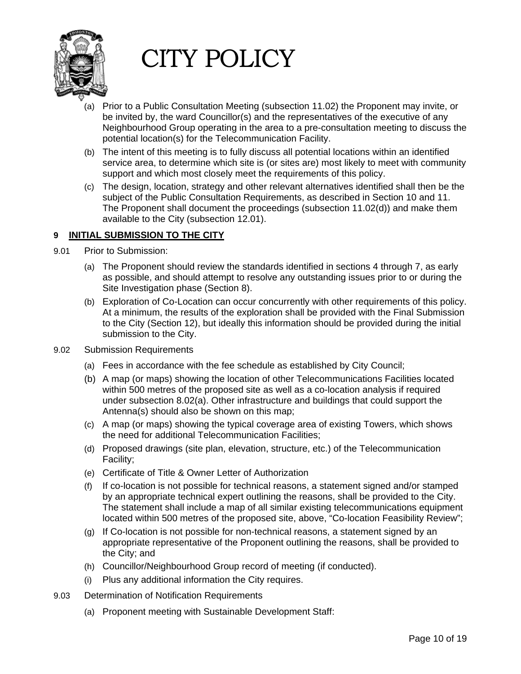

- (a) Prior to a Public Consultation Meeting (subsection 11.02) the Proponent may invite, or be invited by, the ward Councillor(s) and the representatives of the executive of any Neighbourhood Group operating in the area to a pre-consultation meeting to discuss the potential location(s) for the Telecommunication Facility.
- (b) The intent of this meeting is to fully discuss all potential locations within an identified service area, to determine which site is (or sites are) most likely to meet with community support and which most closely meet the requirements of this policy.
- (c) The design, location, strategy and other relevant alternatives identified shall then be the subject of the Public Consultation Requirements, as described in Section 10 and 11. The Proponent shall document the proceedings (subsection 11.02(d)) and make them available to the City (subsection 12.01).

#### **9 INITIAL SUBMISSION TO THE CITY**

- 9.01 Prior to Submission:
	- (a) The Proponent should review the standards identified in sections 4 through 7, as early as possible, and should attempt to resolve any outstanding issues prior to or during the Site Investigation phase (Section 8).
	- (b) Exploration of Co-Location can occur concurrently with other requirements of this policy. At a minimum, the results of the exploration shall be provided with the Final Submission to the City (Section 12), but ideally this information should be provided during the initial submission to the City.
- 9.02 Submission Requirements
	- (a) Fees in accordance with the fee schedule as established by City Council;
	- (b) A map (or maps) showing the location of other Telecommunications Facilities located within 500 metres of the proposed site as well as a co-location analysis if required under subsection 8.02(a). Other infrastructure and buildings that could support the Antenna(s) should also be shown on this map;
	- (c) A map (or maps) showing the typical coverage area of existing Towers, which shows the need for additional Telecommunication Facilities;
	- (d) Proposed drawings (site plan, elevation, structure, etc.) of the Telecommunication Facility;
	- (e) Certificate of Title & Owner Letter of Authorization
	- (f) If co-location is not possible for technical reasons, a statement signed and/or stamped by an appropriate technical expert outlining the reasons, shall be provided to the City. The statement shall include a map of all similar existing telecommunications equipment located within 500 metres of the proposed site, above, "Co-location Feasibility Review";
	- (g) If Co-location is not possible for non-technical reasons, a statement signed by an appropriate representative of the Proponent outlining the reasons, shall be provided to the City; and
	- (h) Councillor/Neighbourhood Group record of meeting (if conducted).
	- (i) Plus any additional information the City requires.
- 9.03 Determination of Notification Requirements
	- (a) Proponent meeting with Sustainable Development Staff: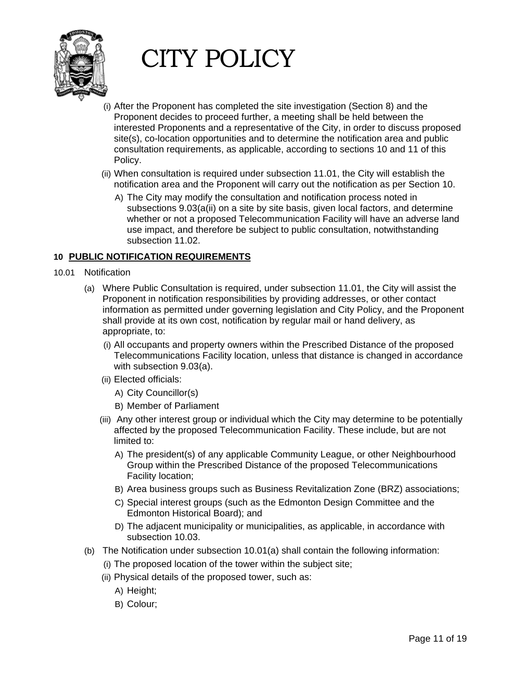

- (i) After the Proponent has completed the site investigation (Section 8) and the Proponent decides to proceed further, a meeting shall be held between the interested Proponents and a representative of the City, in order to discuss proposed site(s), co-location opportunities and to determine the notification area and public consultation requirements, as applicable, according to sections 10 and 11 of this Policy.
- (ii) When consultation is required under subsection 11.01, the City will establish the notification area and the Proponent will carry out the notification as per Section 10.
	- A) The City may modify the consultation and notification process noted in subsections 9.03(a(ii) on a site by site basis, given local factors, and determine whether or not a proposed Telecommunication Facility will have an adverse land use impact, and therefore be subject to public consultation, notwithstanding subsection 11.02.

#### **10 PUBLIC NOTIFICATION REQUIREMENTS**

- 10.01 Notification
	- (a) Where Public Consultation is required, under subsection 11.01, the City will assist the Proponent in notification responsibilities by providing addresses, or other contact information as permitted under governing legislation and City Policy, and the Proponent shall provide at its own cost, notification by regular mail or hand delivery, as appropriate, to:
		- (i) All occupants and property owners within the Prescribed Distance of the proposed Telecommunications Facility location, unless that distance is changed in accordance with subsection 9.03(a).
		- (ii) Elected officials:
			- A) City Councillor(s)
			- B) Member of Parliament
		- (iii) Any other interest group or individual which the City may determine to be potentially affected by the proposed Telecommunication Facility. These include, but are not limited to:
			- A) The president(s) of any applicable Community League, or other Neighbourhood Group within the Prescribed Distance of the proposed Telecommunications Facility location;
			- B) Area business groups such as Business Revitalization Zone (BRZ) associations;
			- C) Special interest groups (such as the Edmonton Design Committee and the Edmonton Historical Board); and
			- D) The adjacent municipality or municipalities, as applicable, in accordance with subsection 10.03.
	- (b) The Notification under subsection 10.01(a) shall contain the following information:
		- (i) The proposed location of the tower within the subject site;
		- (ii) Physical details of the proposed tower, such as:
			- A) Height;
			- B) Colour;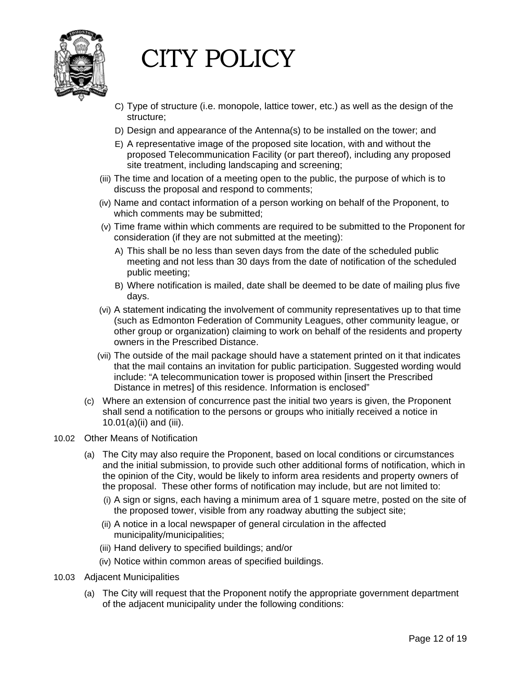

- C) Type of structure (i.e. monopole, lattice tower, etc.) as well as the design of the structure;
- D) Design and appearance of the Antenna(s) to be installed on the tower; and
- E) A representative image of the proposed site location, with and without the proposed Telecommunication Facility (or part thereof), including any proposed site treatment, including landscaping and screening;
- (iii) The time and location of a meeting open to the public, the purpose of which is to discuss the proposal and respond to comments;
- (iv) Name and contact information of a person working on behalf of the Proponent, to which comments may be submitted;
- (v) Time frame within which comments are required to be submitted to the Proponent for consideration (if they are not submitted at the meeting):
	- A) This shall be no less than seven days from the date of the scheduled public meeting and not less than 30 days from the date of notification of the scheduled public meeting;
	- B) Where notification is mailed, date shall be deemed to be date of mailing plus five days.
- (vi) A statement indicating the involvement of community representatives up to that time (such as Edmonton Federation of Community Leagues, other community league, or other group or organization) claiming to work on behalf of the residents and property owners in the Prescribed Distance.
- (vii) The outside of the mail package should have a statement printed on it that indicates that the mail contains an invitation for public participation. Suggested wording would include: "A telecommunication tower is proposed within [insert the Prescribed Distance in metres] of this residence. Information is enclosed"
- (c) Where an extension of concurrence past the initial two years is given, the Proponent shall send a notification to the persons or groups who initially received a notice in 10.01(a)(ii) and (iii).
- 10.02 Other Means of Notification
	- (a) The City may also require the Proponent, based on local conditions or circumstances and the initial submission, to provide such other additional forms of notification, which in the opinion of the City, would be likely to inform area residents and property owners of the proposal. These other forms of notification may include, but are not limited to:
		- (i) A sign or signs, each having a minimum area of 1 square metre, posted on the site of the proposed tower, visible from any roadway abutting the subject site;
		- (ii) A notice in a local newspaper of general circulation in the affected municipality/municipalities;
		- (iii) Hand delivery to specified buildings; and/or
		- (iv) Notice within common areas of specified buildings.
- 10.03 Adjacent Municipalities
	- (a) The City will request that the Proponent notify the appropriate government department of the adjacent municipality under the following conditions: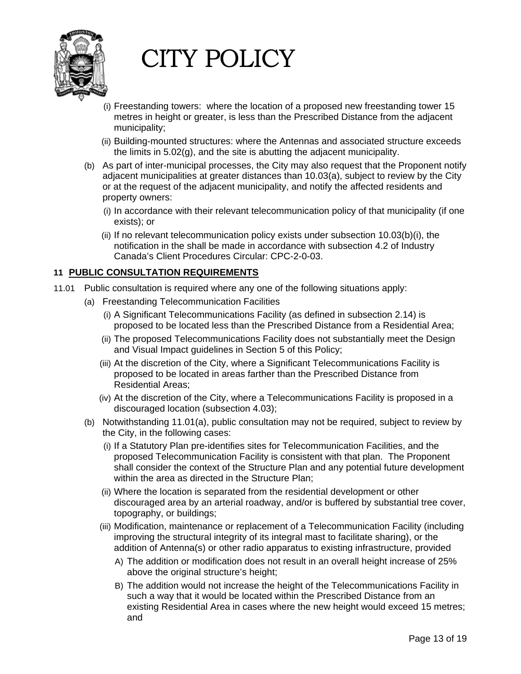

- (i) Freestanding towers: where the location of a proposed new freestanding tower 15 metres in height or greater, is less than the Prescribed Distance from the adjacent municipality;
- (ii) Building-mounted structures: where the Antennas and associated structure exceeds the limits in 5.02(g), and the site is abutting the adjacent municipality.
- (b) As part of inter-municipal processes, the City may also request that the Proponent notify adjacent municipalities at greater distances than 10.03(a), subject to review by the City or at the request of the adjacent municipality, and notify the affected residents and property owners:
	- (i) In accordance with their relevant telecommunication policy of that municipality (if one exists); or
	- (ii) If no relevant telecommunication policy exists under subsection 10.03(b)(i), the notification in the shall be made in accordance with subsection 4.2 of Industry Canada's Client Procedures Circular: CPC-2-0-03.

#### **11 PUBLIC CONSULTATION REQUIREMENTS**

- 11.01 Public consultation is required where any one of the following situations apply:
	- (a) Freestanding Telecommunication Facilities
		- (i) A Significant Telecommunications Facility (as defined in subsection 2.14) is proposed to be located less than the Prescribed Distance from a Residential Area;
		- (ii) The proposed Telecommunications Facility does not substantially meet the Design and Visual Impact guidelines in Section 5 of this Policy;
		- (iii) At the discretion of the City, where a Significant Telecommunications Facility is proposed to be located in areas farther than the Prescribed Distance from Residential Areas;
		- (iv) At the discretion of the City, where a Telecommunications Facility is proposed in a discouraged location (subsection 4.03);
	- (b) Notwithstanding 11.01(a), public consultation may not be required, subject to review by the City, in the following cases:
		- (i) If a Statutory Plan pre-identifies sites for Telecommunication Facilities, and the proposed Telecommunication Facility is consistent with that plan. The Proponent shall consider the context of the Structure Plan and any potential future development within the area as directed in the Structure Plan;
		- (ii) Where the location is separated from the residential development or other discouraged area by an arterial roadway, and/or is buffered by substantial tree cover, topography, or buildings;
		- (iii) Modification, maintenance or replacement of a Telecommunication Facility (including improving the structural integrity of its integral mast to facilitate sharing), or the addition of Antenna(s) or other radio apparatus to existing infrastructure, provided
			- A) The addition or modification does not result in an overall height increase of 25% above the original structure's height;
			- B) The addition would not increase the height of the Telecommunications Facility in such a way that it would be located within the Prescribed Distance from an existing Residential Area in cases where the new height would exceed 15 metres; and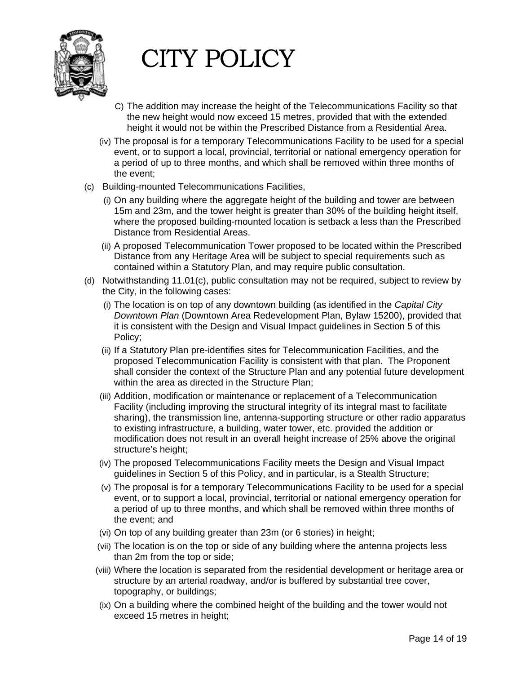

- C) The addition may increase the height of the Telecommunications Facility so that the new height would now exceed 15 metres, provided that with the extended height it would not be within the Prescribed Distance from a Residential Area.
- (iv) The proposal is for a temporary Telecommunications Facility to be used for a special event, or to support a local, provincial, territorial or national emergency operation for a period of up to three months, and which shall be removed within three months of the event;
- (c) Building-mounted Telecommunications Facilities,
	- (i) On any building where the aggregate height of the building and tower are between 15m and 23m, and the tower height is greater than 30% of the building height itself, where the proposed building-mounted location is setback a less than the Prescribed Distance from Residential Areas.
	- (ii) A proposed Telecommunication Tower proposed to be located within the Prescribed Distance from any Heritage Area will be subject to special requirements such as contained within a Statutory Plan, and may require public consultation.
- (d) Notwithstanding 11.01(c), public consultation may not be required, subject to review by the City, in the following cases:
	- (i) The location is on top of any downtown building (as identified in the *Capital City Downtown Plan* (Downtown Area Redevelopment Plan, Bylaw 15200), provided that it is consistent with the Design and Visual Impact guidelines in Section 5 of this Policy;
	- (ii) If a Statutory Plan pre-identifies sites for Telecommunication Facilities, and the proposed Telecommunication Facility is consistent with that plan. The Proponent shall consider the context of the Structure Plan and any potential future development within the area as directed in the Structure Plan;
	- (iii) Addition, modification or maintenance or replacement of a Telecommunication Facility (including improving the structural integrity of its integral mast to facilitate sharing), the transmission line, antenna-supporting structure or other radio apparatus to existing infrastructure, a building, water tower, etc. provided the addition or modification does not result in an overall height increase of 25% above the original structure's height;
	- (iv) The proposed Telecommunications Facility meets the Design and Visual Impact guidelines in Section 5 of this Policy, and in particular, is a Stealth Structure;
	- (v) The proposal is for a temporary Telecommunications Facility to be used for a special event, or to support a local, provincial, territorial or national emergency operation for a period of up to three months, and which shall be removed within three months of the event; and
	- (vi) On top of any building greater than 23m (or 6 stories) in height;
	- (vii) The location is on the top or side of any building where the antenna projects less than 2m from the top or side;
	- (viii) Where the location is separated from the residential development or heritage area or structure by an arterial roadway, and/or is buffered by substantial tree cover, topography, or buildings;
	- (ix) On a building where the combined height of the building and the tower would not exceed 15 metres in height;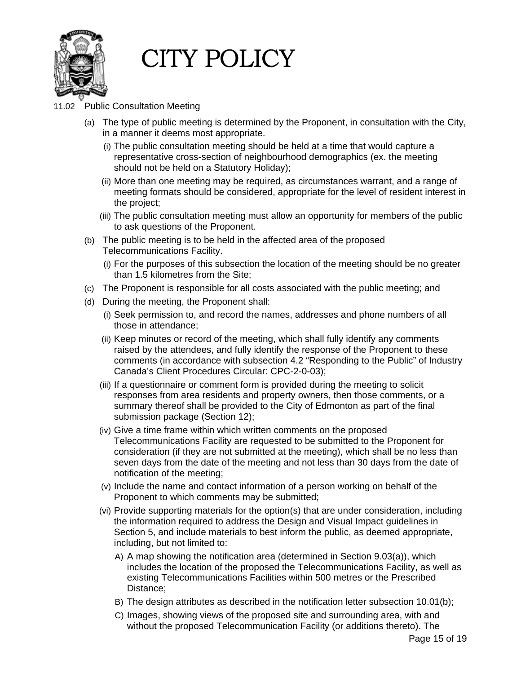

- 11.02 Public Consultation Meeting
	- (a) The type of public meeting is determined by the Proponent, in consultation with the City, in a manner it deems most appropriate.
		- (i) The public consultation meeting should be held at a time that would capture a representative cross-section of neighbourhood demographics (ex. the meeting should not be held on a Statutory Holiday);
		- (ii) More than one meeting may be required, as circumstances warrant, and a range of meeting formats should be considered, appropriate for the level of resident interest in the project;
		- (iii) The public consultation meeting must allow an opportunity for members of the public to ask questions of the Proponent.
	- (b) The public meeting is to be held in the affected area of the proposed Telecommunications Facility.
		- (i) For the purposes of this subsection the location of the meeting should be no greater than 1.5 kilometres from the Site;
	- (c) The Proponent is responsible for all costs associated with the public meeting; and
	- (d) During the meeting, the Proponent shall:
		- (i) Seek permission to, and record the names, addresses and phone numbers of all those in attendance;
		- (ii) Keep minutes or record of the meeting, which shall fully identify any comments raised by the attendees, and fully identify the response of the Proponent to these comments (in accordance with subsection 4.2 "Responding to the Public" of Industry Canada's Client Procedures Circular: CPC-2-0-03);
		- (iii) If a questionnaire or comment form is provided during the meeting to solicit responses from area residents and property owners, then those comments, or a summary thereof shall be provided to the City of Edmonton as part of the final submission package (Section 12);
		- (iv) Give a time frame within which written comments on the proposed Telecommunications Facility are requested to be submitted to the Proponent for consideration (if they are not submitted at the meeting), which shall be no less than seven days from the date of the meeting and not less than 30 days from the date of notification of the meeting;
		- (v) Include the name and contact information of a person working on behalf of the Proponent to which comments may be submitted;
		- (vi) Provide supporting materials for the option(s) that are under consideration, including the information required to address the Design and Visual Impact guidelines in Section 5, and include materials to best inform the public, as deemed appropriate, including, but not limited to:
			- A) A map showing the notification area (determined in Section 9.03(a)), which includes the location of the proposed the Telecommunications Facility, as well as existing Telecommunications Facilities within 500 metres or the Prescribed Distance;
			- B) The design attributes as described in the notification letter subsection 10.01(b);
			- C) Images, showing views of the proposed site and surrounding area, with and without the proposed Telecommunication Facility (or additions thereto). The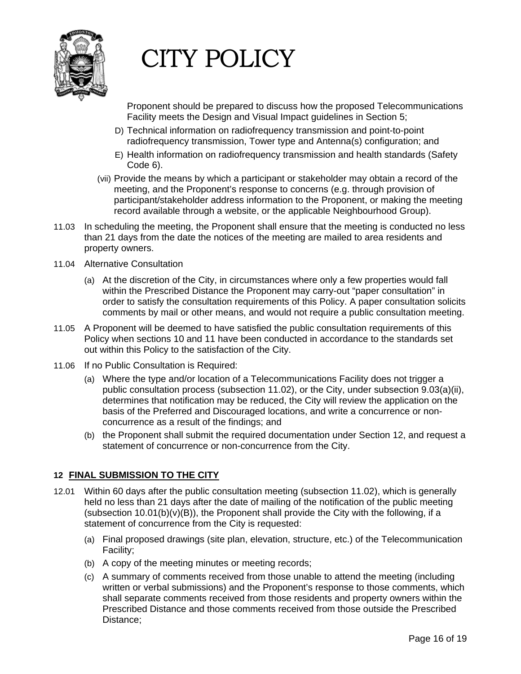

Proponent should be prepared to discuss how the proposed Telecommunications Facility meets the Design and Visual Impact guidelines in Section 5;

- D) Technical information on radiofrequency transmission and point-to-point radiofrequency transmission, Tower type and Antenna(s) configuration; and
- E) Health information on radiofrequency transmission and health standards (Safety Code 6).
- (vii) Provide the means by which a participant or stakeholder may obtain a record of the meeting, and the Proponent's response to concerns (e.g. through provision of participant/stakeholder address information to the Proponent, or making the meeting record available through a website, or the applicable Neighbourhood Group).
- 11.03 In scheduling the meeting, the Proponent shall ensure that the meeting is conducted no less than 21 days from the date the notices of the meeting are mailed to area residents and property owners.
- 11.04 Alternative Consultation
	- (a) At the discretion of the City, in circumstances where only a few properties would fall within the Prescribed Distance the Proponent may carry-out "paper consultation" in order to satisfy the consultation requirements of this Policy. A paper consultation solicits comments by mail or other means, and would not require a public consultation meeting.
- 11.05 A Proponent will be deemed to have satisfied the public consultation requirements of this Policy when sections 10 and 11 have been conducted in accordance to the standards set out within this Policy to the satisfaction of the City.
- 11.06 If no Public Consultation is Required:
	- (a) Where the type and/or location of a Telecommunications Facility does not trigger a public consultation process (subsection 11.02), or the City, under subsection 9.03(a)(ii), determines that notification may be reduced, the City will review the application on the basis of the Preferred and Discouraged locations, and write a concurrence or nonconcurrence as a result of the findings; and
	- (b) the Proponent shall submit the required documentation under Section 12, and request a statement of concurrence or non-concurrence from the City.

#### **12 FINAL SUBMISSION TO THE CITY**

- 12.01 Within 60 days after the public consultation meeting (subsection 11.02), which is generally held no less than 21 days after the date of mailing of the notification of the public meeting (subsection  $10.01(b)(v)(B)$ ), the Proponent shall provide the City with the following, if a statement of concurrence from the City is requested:
	- (a) Final proposed drawings (site plan, elevation, structure, etc.) of the Telecommunication Facility;
	- (b) A copy of the meeting minutes or meeting records;
	- (c) A summary of comments received from those unable to attend the meeting (including written or verbal submissions) and the Proponent's response to those comments, which shall separate comments received from those residents and property owners within the Prescribed Distance and those comments received from those outside the Prescribed Distance;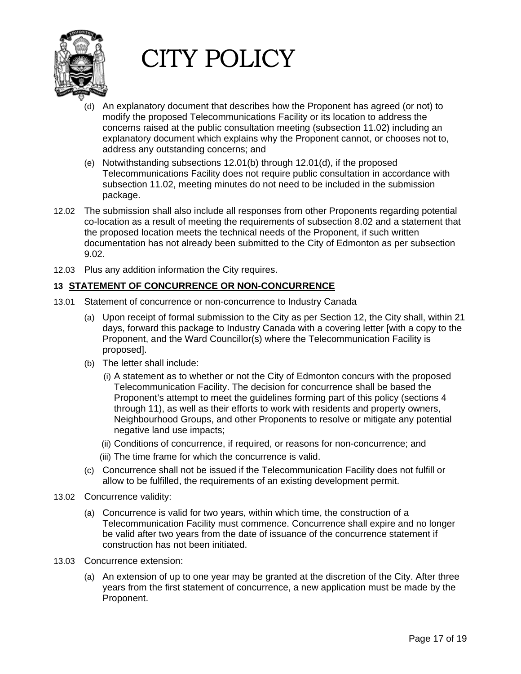

- (d) An explanatory document that describes how the Proponent has agreed (or not) to modify the proposed Telecommunications Facility or its location to address the concerns raised at the public consultation meeting (subsection 11.02) including an explanatory document which explains why the Proponent cannot, or chooses not to, address any outstanding concerns; and
- (e) Notwithstanding subsections 12.01(b) through 12.01(d), if the proposed Telecommunications Facility does not require public consultation in accordance with subsection 11.02, meeting minutes do not need to be included in the submission package.
- 12.02 The submission shall also include all responses from other Proponents regarding potential co-location as a result of meeting the requirements of subsection 8.02 and a statement that the proposed location meets the technical needs of the Proponent, if such written documentation has not already been submitted to the City of Edmonton as per subsection 9.02.
- 12.03 Plus any addition information the City requires.

#### **13 STATEMENT OF CONCURRENCE OR NON-CONCURRENCE**

- 13.01 Statement of concurrence or non-concurrence to Industry Canada
	- (a) Upon receipt of formal submission to the City as per Section 12, the City shall, within 21 days, forward this package to Industry Canada with a covering letter [with a copy to the Proponent, and the Ward Councillor(s) where the Telecommunication Facility is proposed].
	- (b) The letter shall include:
		- (i) A statement as to whether or not the City of Edmonton concurs with the proposed Telecommunication Facility. The decision for concurrence shall be based the Proponent's attempt to meet the guidelines forming part of this policy (sections 4 through 11), as well as their efforts to work with residents and property owners, Neighbourhood Groups, and other Proponents to resolve or mitigate any potential negative land use impacts;
		- (ii) Conditions of concurrence, if required, or reasons for non-concurrence; and
		- (iii) The time frame for which the concurrence is valid.
	- (c) Concurrence shall not be issued if the Telecommunication Facility does not fulfill or allow to be fulfilled, the requirements of an existing development permit.
- 13.02 Concurrence validity:
	- (a) Concurrence is valid for two years, within which time, the construction of a Telecommunication Facility must commence. Concurrence shall expire and no longer be valid after two years from the date of issuance of the concurrence statement if construction has not been initiated.
- 13.03 Concurrence extension:
	- (a) An extension of up to one year may be granted at the discretion of the City. After three years from the first statement of concurrence, a new application must be made by the Proponent.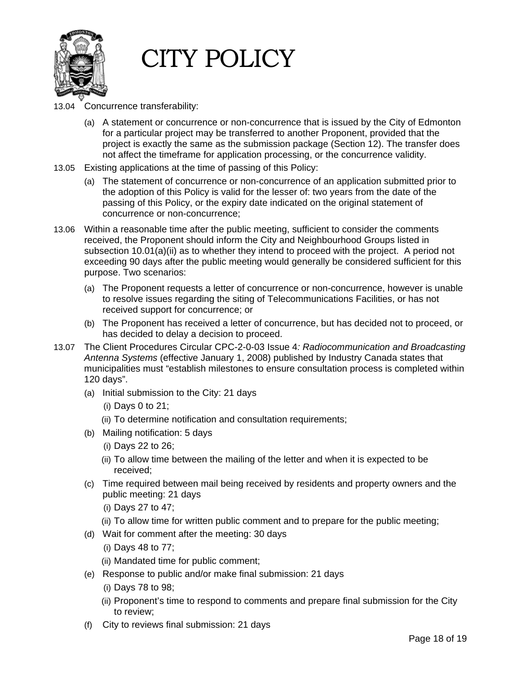

- 13.04 Concurrence transferability:
	- (a) A statement or concurrence or non-concurrence that is issued by the City of Edmonton for a particular project may be transferred to another Proponent, provided that the project is exactly the same as the submission package (Section 12). The transfer does not affect the timeframe for application processing, or the concurrence validity.
- 13.05 Existing applications at the time of passing of this Policy:
	- (a) The statement of concurrence or non-concurrence of an application submitted prior to the adoption of this Policy is valid for the lesser of: two years from the date of the passing of this Policy, or the expiry date indicated on the original statement of concurrence or non-concurrence;
- 13.06 Within a reasonable time after the public meeting, sufficient to consider the comments received, the Proponent should inform the City and Neighbourhood Groups listed in subsection  $10.01(a)$ (ii) as to whether they intend to proceed with the project. A period not exceeding 90 days after the public meeting would generally be considered sufficient for this purpose. Two scenarios:
	- (a) The Proponent requests a letter of concurrence or non-concurrence, however is unable to resolve issues regarding the siting of Telecommunications Facilities, or has not received support for concurrence; or
	- (b) The Proponent has received a letter of concurrence, but has decided not to proceed, or has decided to delay a decision to proceed.
- 13.07 The Client Procedures Circular CPC-2-0-03 Issue 4*: Radiocommunication and Broadcasting Antenna Systems* (effective January 1, 2008) published by Industry Canada states that municipalities must "establish milestones to ensure consultation process is completed within 120 days".
	- (a) Initial submission to the City: 21 days
		- (i) Days 0 to 21;
		- (ii) To determine notification and consultation requirements;
	- (b) Mailing notification: 5 days
		- (i) Days 22 to 26;
		- (ii) To allow time between the mailing of the letter and when it is expected to be received;
	- (c) Time required between mail being received by residents and property owners and the public meeting: 21 days
		- (i) Days 27 to 47;
		- (ii) To allow time for written public comment and to prepare for the public meeting;
	- (d) Wait for comment after the meeting: 30 days
		- (i) Days 48 to 77;
		- (ii) Mandated time for public comment;
	- (e) Response to public and/or make final submission: 21 days
		- (i) Days 78 to 98;
		- (ii) Proponent's time to respond to comments and prepare final submission for the City to review;
	- (f) City to reviews final submission: 21 days